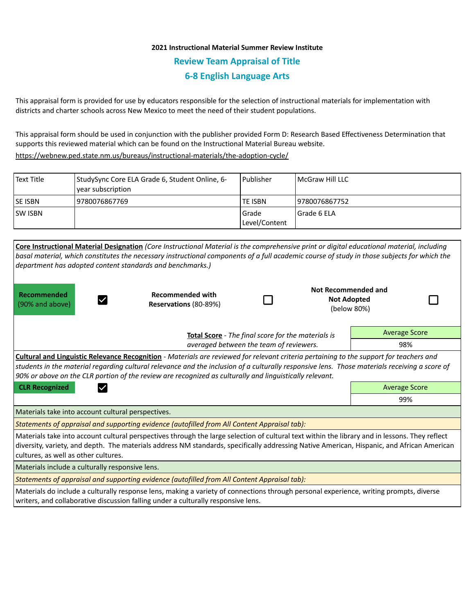## **2021 Instructional Material Summer Review Institute Review Team Appraisal of Title 6-8 English Language Arts**

This appraisal form is provided for use by educators responsible for the selection of instructional materials for implementation with districts and charter schools across New Mexico to meet the need of their student populations.

This appraisal form should be used in conjunction with the publisher provided Form D: Research Based Effectiveness Determination that supports this reviewed material which can be found on the Instructional Material Bureau website.

<https://webnew.ped.state.nm.us/bureaus/instructional-materials/the-adoption-cycle/>

| Text Title     | StudySync Core ELA Grade 6, Student Online, 6-<br>vear subscription | Publisher                | l McGraw Hill LLC |
|----------------|---------------------------------------------------------------------|--------------------------|-------------------|
| <b>SE ISBN</b> | 9780076867769                                                       | TE ISBN                  | 19780076867752    |
| <b>SW ISBN</b> |                                                                     | l Grade<br>Level/Content | l Grade 6 ELA     |

| Core Instructional Material Designation (Core Instructional Material is the comprehensive print or digital educational material, including<br>basal material, which constitutes the necessary instructional components of a full academic course of study in those subjects for which the<br>department has adopted content standards and benchmarks.)                                                     |                                                  |  |                                                          |                      |  |  |  |
|------------------------------------------------------------------------------------------------------------------------------------------------------------------------------------------------------------------------------------------------------------------------------------------------------------------------------------------------------------------------------------------------------------|--------------------------------------------------|--|----------------------------------------------------------|----------------------|--|--|--|
| Recommended<br>(90% and above)                                                                                                                                                                                                                                                                                                                                                                             | <b>Recommended with</b><br>Reservations (80-89%) |  | Not Recommended and<br><b>Not Adopted</b><br>(below 80%) |                      |  |  |  |
| Total Score - The final score for the materials is<br>averaged between the team of reviewers.                                                                                                                                                                                                                                                                                                              |                                                  |  |                                                          | <b>Average Score</b> |  |  |  |
|                                                                                                                                                                                                                                                                                                                                                                                                            |                                                  |  |                                                          | 98%                  |  |  |  |
| <b>Cultural and Linguistic Relevance Recognition</b> - Materials are reviewed for relevant criteria pertaining to the support for teachers and<br>students in the material regarding cultural relevance and the inclusion of a culturally responsive lens. Those materials receiving a score of<br>90% or above on the CLR portion of the review are recognized as culturally and linguistically relevant. |                                                  |  |                                                          |                      |  |  |  |
| <b>CLR Recognized</b>                                                                                                                                                                                                                                                                                                                                                                                      |                                                  |  |                                                          | <b>Average Score</b> |  |  |  |
|                                                                                                                                                                                                                                                                                                                                                                                                            |                                                  |  |                                                          | 99%                  |  |  |  |
| Materials take into account cultural perspectives.                                                                                                                                                                                                                                                                                                                                                         |                                                  |  |                                                          |                      |  |  |  |
| Statements of appraisal and supporting evidence (autofilled from All Content Appraisal tab):                                                                                                                                                                                                                                                                                                               |                                                  |  |                                                          |                      |  |  |  |
| Materials take into account cultural perspectives through the large selection of cultural text within the library and in lessons. They reflect<br>diversity, variety, and depth. The materials address NM standards, specifically addressing Native American, Hispanic, and African American<br>cultures, as well as other cultures.                                                                       |                                                  |  |                                                          |                      |  |  |  |
| Materials include a culturally responsive lens.                                                                                                                                                                                                                                                                                                                                                            |                                                  |  |                                                          |                      |  |  |  |
| Statements of appraisal and supporting evidence (autofilled from All Content Appraisal tab):                                                                                                                                                                                                                                                                                                               |                                                  |  |                                                          |                      |  |  |  |
| Materials do include a culturally response lens, making a variety of connections through personal experience, writing prompts, diverse<br>writers, and collaborative discussion falling under a culturally responsive lens.                                                                                                                                                                                |                                                  |  |                                                          |                      |  |  |  |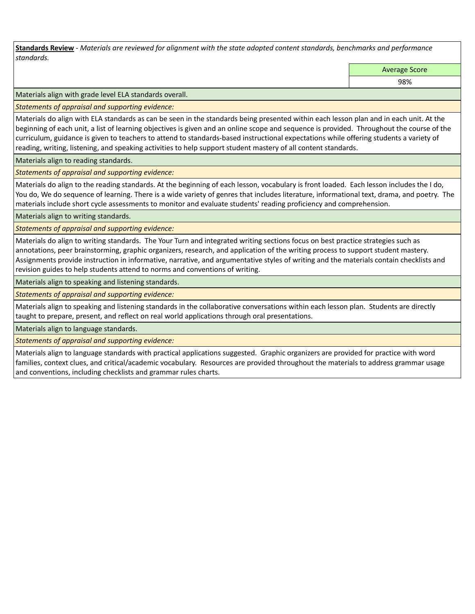**Standards Review** *- Materials are reviewed for alignment with the state adopted content standards, benchmarks and performance standards.*

Average Score

98%

Materials align with grade level ELA standards overall.

*Statements of appraisal and supporting evidence:* 

Materials do align with ELA standards as can be seen in the standards being presented within each lesson plan and in each unit. At the beginning of each unit, a list of learning objectives is given and an online scope and sequence is provided. Throughout the course of the curriculum, guidance is given to teachers to attend to standards-based instructional expectations while offering students a variety of reading, writing, listening, and speaking activities to help support student mastery of all content standards.

Materials align to reading standards.

*Statements of appraisal and supporting evidence:* 

Materials do align to the reading standards. At the beginning of each lesson, vocabulary is front loaded. Each lesson includes the I do, You do, We do sequence of learning. There is a wide variety of genres that includes literature, informational text, drama, and poetry. The materials include short cycle assessments to monitor and evaluate students' reading proficiency and comprehension.

Materials align to writing standards.

*Statements of appraisal and supporting evidence:* 

Materials do align to writing standards. The Your Turn and integrated writing sections focus on best practice strategies such as annotations, peer brainstorming, graphic organizers, research, and application of the writing process to support student mastery. Assignments provide instruction in informative, narrative, and argumentative styles of writing and the materials contain checklists and revision guides to help students attend to norms and conventions of writing.

Materials align to speaking and listening standards.

*Statements of appraisal and supporting evidence:* 

Materials align to speaking and listening standards in the collaborative conversations within each lesson plan. Students are directly taught to prepare, present, and reflect on real world applications through oral presentations.

Materials align to language standards.

*Statements of appraisal and supporting evidence:* 

Materials align to language standards with practical applications suggested. Graphic organizers are provided for practice with word families, context clues, and critical/academic vocabulary. Resources are provided throughout the materials to address grammar usage and conventions, including checklists and grammar rules charts.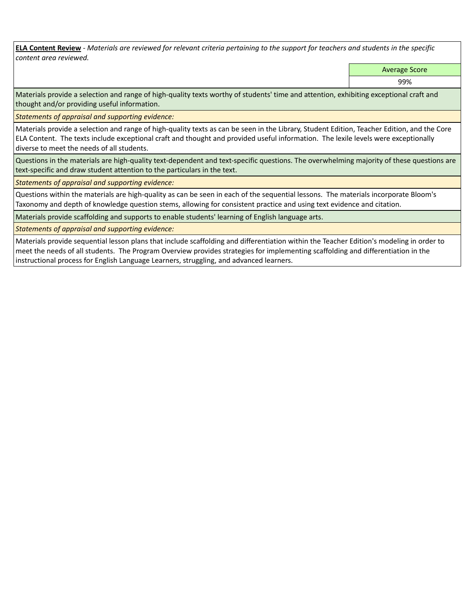**ELA Content Review** *- Materials are reviewed for relevant criteria pertaining to the support for teachers and students in the specific content area reviewed.*

Average Score

99%

Materials provide a selection and range of high-quality texts worthy of students' time and attention, exhibiting exceptional craft and thought and/or providing useful information.

*Statements of appraisal and supporting evidence:* 

Materials provide a selection and range of high-quality texts as can be seen in the Library, Student Edition, Teacher Edition, and the Core ELA Content. The texts include exceptional craft and thought and provided useful information. The lexile levels were exceptionally diverse to meet the needs of all students.

Questions in the materials are high-quality text-dependent and text-specific questions. The overwhelming majority of these questions are text-specific and draw student attention to the particulars in the text.

*Statements of appraisal and supporting evidence:* 

Questions within the materials are high-quality as can be seen in each of the sequential lessons. The materials incorporate Bloom's Taxonomy and depth of knowledge question stems, allowing for consistent practice and using text evidence and citation.

Materials provide scaffolding and supports to enable students' learning of English language arts.

*Statements of appraisal and supporting evidence:* 

Materials provide sequential lesson plans that include scaffolding and differentiation within the Teacher Edition's modeling in order to meet the needs of all students. The Program Overview provides strategies for implementing scaffolding and differentiation in the instructional process for English Language Learners, struggling, and advanced learners.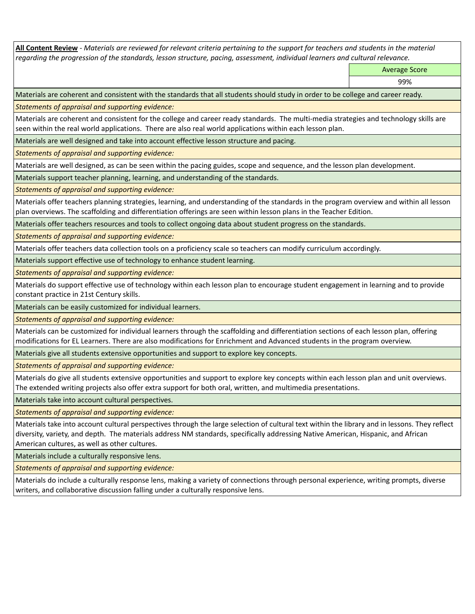**All Content Review** *- Materials are reviewed for relevant criteria pertaining to the support for teachers and students in the material regarding the progression of the standards, lesson structure, pacing, assessment, individual learners and cultural relevance.*

Average Score

99%

Materials are coherent and consistent with the standards that all students should study in order to be college and career ready.

*Statements of appraisal and supporting evidence:*

Materials are coherent and consistent for the college and career ready standards. The multi-media strategies and technology skills are seen within the real world applications. There are also real world applications within each lesson plan.

Materials are well designed and take into account effective lesson structure and pacing.

*Statements of appraisal and supporting evidence:*

Materials are well designed, as can be seen within the pacing guides, scope and sequence, and the lesson plan development.

Materials support teacher planning, learning, and understanding of the standards.

*Statements of appraisal and supporting evidence:*

Materials offer teachers planning strategies, learning, and understanding of the standards in the program overview and within all lesson plan overviews. The scaffolding and differentiation offerings are seen within lesson plans in the Teacher Edition.

Materials offer teachers resources and tools to collect ongoing data about student progress on the standards.

*Statements of appraisal and supporting evidence:*

Materials offer teachers data collection tools on a proficiency scale so teachers can modify curriculum accordingly.

Materials support effective use of technology to enhance student learning.

*Statements of appraisal and supporting evidence:*

Materials do support effective use of technology within each lesson plan to encourage student engagement in learning and to provide constant practice in 21st Century skills.

Materials can be easily customized for individual learners.

*Statements of appraisal and supporting evidence:* 

Materials can be customized for individual learners through the scaffolding and differentiation sections of each lesson plan, offering modifications for EL Learners. There are also modifications for Enrichment and Advanced students in the program overview.

Materials give all students extensive opportunities and support to explore key concepts.

*Statements of appraisal and supporting evidence:*

Materials do give all students extensive opportunities and support to explore key concepts within each lesson plan and unit overviews. The extended writing projects also offer extra support for both oral, written, and multimedia presentations.

Materials take into account cultural perspectives.

*Statements of appraisal and supporting evidence:*

Materials take into account cultural perspectives through the large selection of cultural text within the library and in lessons. They reflect diversity, variety, and depth. The materials address NM standards, specifically addressing Native American, Hispanic, and African American cultures, as well as other cultures.

Materials include a culturally responsive lens.

*Statements of appraisal and supporting evidence:*

Materials do include a culturally response lens, making a variety of connections through personal experience, writing prompts, diverse writers, and collaborative discussion falling under a culturally responsive lens.